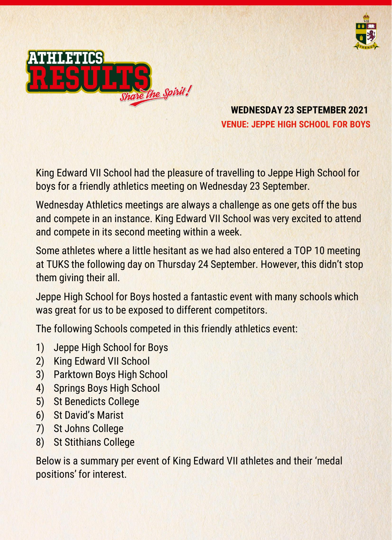



**WEDNESDAY 23 SEPTEMBER 2021 VENUE: JEPPE HIGH SCHOOL FOR BOYS**

King Edward VII School had the pleasure of travelling to Jeppe High School for boys for a friendly athletics meeting on Wednesday 23 September.

Wednesday Athletics meetings are always a challenge as one gets off the bus and compete in an instance. King Edward VII School was very excited to attend and compete in its second meeting within a week.

Some athletes where a little hesitant as we had also entered a TOP 10 meeting at TUKS the following day on Thursday 24 September. However, this didn't stop them giving their all.

Jeppe High School for Boys hosted a fantastic event with many schools which was great for us to be exposed to different competitors.

The following Schools competed in this friendly athletics event:

- 1) Jeppe High School for Boys
- 2) King Edward VII School
- 3) Parktown Boys High School
- 4) Springs Boys High School
- 5) St Benedicts College
- 6) St David's Marist
- 7) St Johns College
- 8) St Stithians College

Below is a summary per event of King Edward VII athletes and their 'medal positions' for interest.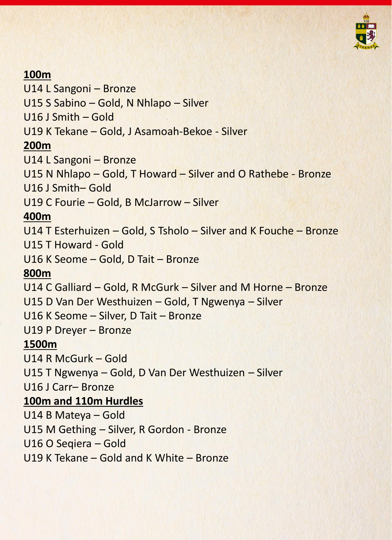

### **100m**

U14 L Sangoni – Bronze U15 S Sabino – Gold, N Nhlapo – Silver U16 J Smith – Gold U19 K Tekane – Gold, J Asamoah-Bekoe - Silver **200m** U14 L Sangoni – Bronze U15 N Nhlapo – Gold, T Howard – Silver and O Rathebe - Bronze U16 J Smith– Gold U19 C Fourie – Gold, B McJarrow – Silver **400m**  U14 T Esterhuizen – Gold, S Tsholo – Silver and K Fouche – Bronze U15 T Howard - Gold U16 K Seome – Gold, D Tait – Bronze **800m** U14 C Galliard – Gold, R McGurk – Silver and M Horne – Bronze U15 D Van Der Westhuizen – Gold, T Ngwenya – Silver U16 K Seome – Silver, D Tait – Bronze U19 P Dreyer – Bronze **1500m** U14 R McGurk – Gold U15 T Ngwenya – Gold, D Van Der Westhuizen – Silver U16 J Carr– Bronze **100m and 110m Hurdles** U14 B Mateya – Gold U15 M Gething – Silver, R Gordon - Bronze U16 O Seqiera – Gold U19 K Tekane – Gold and K White – Bronze